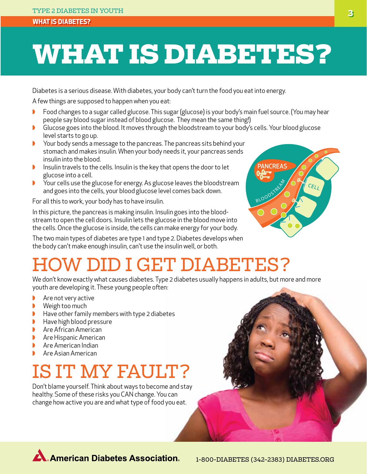#### **What is Diabetes?**

# **What is Diabetes?**

Diabetes is a serious disease. With diabetes, your body can't turn the food you eat into energy.

A few things are supposed to happen when you eat:

- ◗◗ Food changes to a sugar called glucose. This sugar (glucose) is your body's main fuel source. (You may hear people say blood sugar instead of blood glucose. They mean the same thing!)
- Glucose goes into the blood. It moves through the bloodstream to your body's cells. Your blood glucose level starts to go up.
- ◗◗ Your body sends a message to the pancreas. The pancreas sits behind your stomach and makes insulin. When your body needs it, your pancreas sends insulin into the blood.
- Insulin travels to the cells. Insulin is the key that opens the door to let glucose into a cell.
- Your cells use the glucose for energy. As glucose leaves the bloodstream and goes into the cells, your blood glucose level comes back down.

For all this to work, your body has to have insulin.

In this picture, the pancreas is making insulin. Insulin goes into the bloodstream to open the cell doors. Insulin lets the glucose in the blood move into the cells. Once the glucose is inside, the cells can make energy for your body.

The two main types of diabetes are type 1 and type 2. Diabetes develops when the body can't make enough insulin, can't use the insulin well, or both.



## D I GET DIABETES?

We don't know exactly what causes diabetes. Type 2 diabetes usually happens in adults, but more and more youth are developing it. These young people often:

- Are not very active
- ◗◗ Weigh too much
- Have other family members with type 2 diabetes
- ◗◗ Have high blood pressure
- Are African American
- **▶** Are Hispanic American
- ◗◗ Are American Indian
- ◗◗ Are Asian American

## Is it my fault?

Don't blame yourself. Think about ways to become and stay healthy. Some of these risks you CAN change. You can change how active you are and what type of food you eat.



**A. American Diabetes Association.**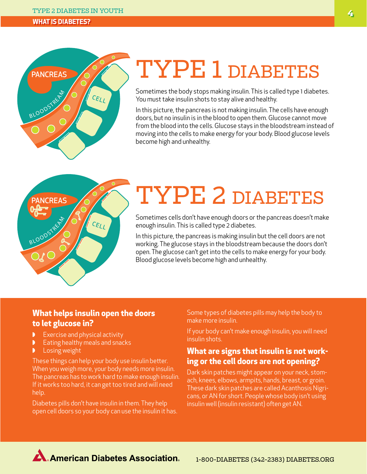#### Type 2 Diabetes in Youth **4**

#### **What is Diabetes?**



# TYPE 1 DIABETES

Sometimes the body stops making insulin. This is called type 1 diabetes. You must take insulin shots to stay alive and healthy.

In this picture, the pancreas is not making insulin. The cells have enough doors, but no insulin is in the blood to open them. Glucose cannot move from the blood into the cells. Glucose stays in the bloodstream instead of moving into the cells to make energy for your body. Blood glucose levels become high and unhealthy.



# Type 2 Diabetes

Sometimes cells don't have enough doors or the pancreas doesn't make enough insulin. This is called type 2 diabetes.

In this picture, the pancreas is making insulin but the cell doors are not working. The glucose stays in the bloodstream because the doors don't open. The glucose can't get into the cells to make energy for your body. Blood glucose levels become high and unhealthy.

### **What helps insulin open the doors to let glucose in?**

- Exercise and physical activity
- Eating healthy meals and snacks
- **Losing weight**

These things can help your body use insulin better. When you weigh more, your body needs more insulin. The pancreas has to work hard to make enough insulin. If it works too hard, it can get too tired and will need help.

Diabetes pills don't have insulin in them. They help open cell doors so your body can use the insulin it has. Some types of diabetes pills may help the body to make more insulin.

If your body can't make enough insulin, you will need insulin shots.

### **What are signs that insulin is not working or the cell doors are not opening?**

Dark skin patches might appear on your neck, stomach, knees, elbows, armpits, hands, breast, or groin. These dark skin patches are called Acanthosis Nigricans, or AN for short. People whose body isn't using insulin well (insulin resistant) often get AN.